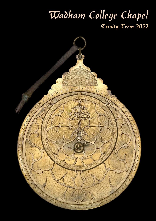# Wadham College Chapel Trinity Term 2022

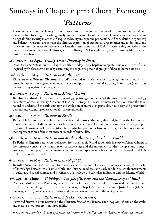# Sundays in Chapel 6 pm: Choral Evensong *Patterns*

Taking our cue from the Trinity, this term we consider how we make sense of the cosmos, our world, and ourselves by observing, describing, analysing, and manipulating patterns. Humans are pattern-making beings, finding security in order and sequence, beauty in shape and proportion, and consolation in symmetry and balance. Museums are perhaps the ultimate expression of our human urge to order and understand, and so we are very fortunate to welcome speakers this term from two of Oxford's astonishing collections: the University Museum of Natural History, and the History of Science Museum, as well as from within our own ranks at Wadham.

### 1st week 24 April *Trinity Term: Thinking in Threes*

*Omne trium perfectum*: on the Chapel's 409th birthday, **The Chaplain** completes this year's series of talks inspired by Oxford term names by examining the cognitive power of groups of three in human culture.

#### 2nd week 1 May *Patterns in Mathematics*

Wadham's own Wissam Ghantous is a DPhil candidate in Mathematics studying number theory, with research interests in algebraic number theory (elliptic curves, modular forms, L-functions) and postquantum isogeny-based cryptography.

### 3rd week 8 May *Patterns in Mineral Forms*

Dr Duncan Murdock manages the minerology, petrology, and some of the invertebrate palaeontology collections of the University Museum of Natural History. His research interests focus on using the fossil record to understand the early anatomy and evolution of animals; in particular, how decay and preservation bias our understanding of exceptionally preserved fossils.

### 4th week 15 May *Patterns in Fossils*

Dr Frankie Dunn is a research fellow at the Natural History Museum, also studying how the fossil record informs our views of the origin and early evolution of animals. Her current research concerns a group of organisms known as the Ediacaran Macrobiota, which appear in the fossil record ~570 million years ago and may represent some of the most ancient records of animal life.

### 5th week 22 May *Patterns and Math in the Arts of the Islamic World*

Dr Federica Gigante curates the Collection from the Islamic World at Oxford's History of Science Museum. Her research concerns the transmission of knowledge and the movement of ideas, people, and things – artefacts, manuscripts, scientific instruments, and natural specimens – between the Islamic world and Italy in the early modern period.

### 6th week 29 May *Patterns in the Night Sky*

Dr Silke Ackermann directs the History of Science Museum. Her research interests include the transfer of knowledge between the Islamic World and Europe, medieval and early modern scientific instruments in cultural and social context, and the history of astrology and calendars in Europe and the Islamic World.

### 7th week  $\ast$  5 June *Thinking in Tongues (Patterns and the Neurodivergent Mind)*

On the Christian feast of Pentecost, famed for a miracle that enabled people of diverse nations to understand the Disciples speaking as if in their own language, Chapel Warden and alumna Josie Ediss (Modern Languages, 2016) considers patterns that underlie some neurodivergent thought processes.

### 8th week 12 June *Patterns in Life (Leavers' Service)*

As we bid farewell to our Leavers on the Christian feast of the Trinity, The Chaplain reflects on the cycles and seasons of our progression through life.

 *On starred evenings, Evensong is followed by dinner in Hall for all who have signed up beforehand.*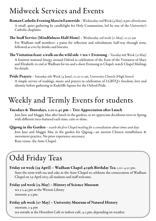## Midweek Services and Events

**Roman Catholic Evening Mass in Eastertide** – Wednesday 2nd Week (4 May), 6 pm: all welcome A small, quiet gathering by candlelight for Holy Communion, led by one of the University's Catholic chaplains.

**The Staff Service (Mindfulness Half-Hour)** – Wednesday 3rd week (11 May), 10.30 am For Wadham staff members: a pause for reflection and refreshment, half-way through term, followed as ever by drinks and biscuits.

The Visitation feast: a walk on the wild side + tea + Evensong - Tuesday 6th Week (31 May) A feminist stational liturgy around Oxford in celebration of the Feast of the Visitation of Mary and Elizabeth, to end at Wadham for tea and a short Evensong in Chapel; watch Chapel Mailings for details.

Pride Prayers - Saturday 6th Week (4 June), 10.30-11 am, University Church (High Street)

A simple service of readings, music and prayers in celebration of LGBTQ+ freedom, love and identity before gathering in Radcliffe Square for the Oxford Pride.

## Weekly and Termly Events for students

### Tuesdays & Thursdays, 1.10-1.40 pm – Tree Appreciation after Lunch

Join Jane and Maggie Mae after lunch in the gardens, as we appreciate deciduous trees in Spring, with different trees featured each time; rain or shine.

Qigong in the Garden – *watch the first Chapel mailing for a consultation about times and days* Join Jane and Maggie Mae in the garden for Qigong—an ancient Chinese mindfulness & movement practice. No prior experience necessary. Rain venue: the Ante-Chapel.

# Odd Friday Teas

### Friday 1st week (29 April) – Wadham Chapel 409th Birthday Tea, 3.30–4.30 pm.

Start the term with tea and cake in the Ante-Chapel to celebrate the consecration of Wadham Chapel on 29 April 1613; all students and staff welcome.

### Friday 3rd week (13 May) – History of Science Museum

tea 3-3.45 pm at the Weston Library museum 4-5 pm.

### Friday 5th week (27 May) – University Museum of Natural History

museum, 3-4 pm tea outside at the Horsebox Café or indoor café, 4-5 pm, depending on weather.